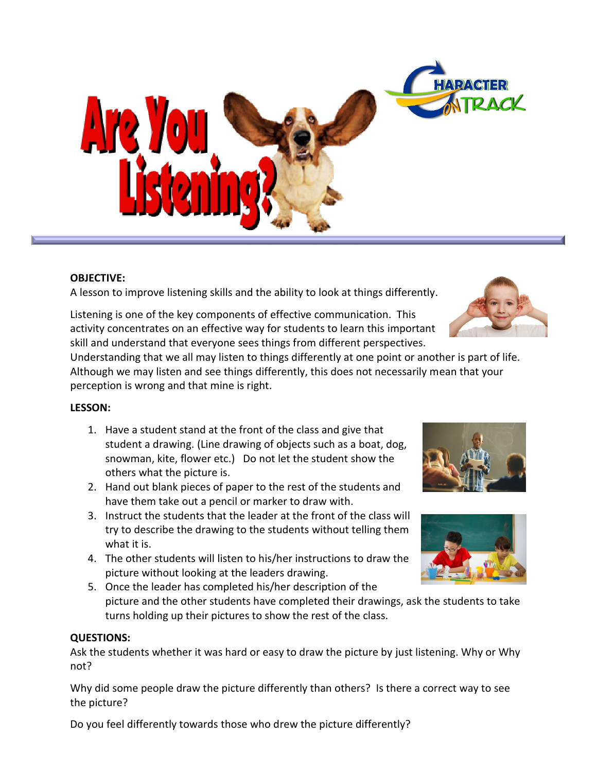

# **OBJECTIVE:**

A lesson to improve listening skills and the ability to look at things differently.

Listening is one of the key components of effective communication. This activity concentrates on an effective way for students to learn this important skill and understand that everyone sees things from different perspectives.

Understanding that we all may listen to things differently at one point or another is part of life. Although we may listen and see things differently, this does not necessarily mean that your perception is wrong and that mine is right.

# **LESSON:**

- 1. Have a student stand at the front of the class and give that student a drawing. (Line drawing of objects such as a boat, dog, snowman, kite, flower etc.) Do not let the student show the others what the picture is.
- 2. Hand out blank pieces of paper to the rest of the students and have them take out a pencil or marker to draw with.
- 3. Instruct the students that the leader at the front of the class will try to describe the drawing to the students without telling them what it is.
- 4. The other students will listen to his/her instructions to draw the picture without looking at the leaders drawing.
- 5. Once the leader has completed his/her description of the picture and the other students have completed their drawings, ask the students to take turns holding up their pictures to show the rest of the class.

# **QUESTIONS:**

Ask the students whether it was hard or easy to draw the picture by just listening. Why or Why not?

Why did some people draw the picture differently than others? Is there a correct way to see the picture?

Do you feel differently towards those who drew the picture differently?